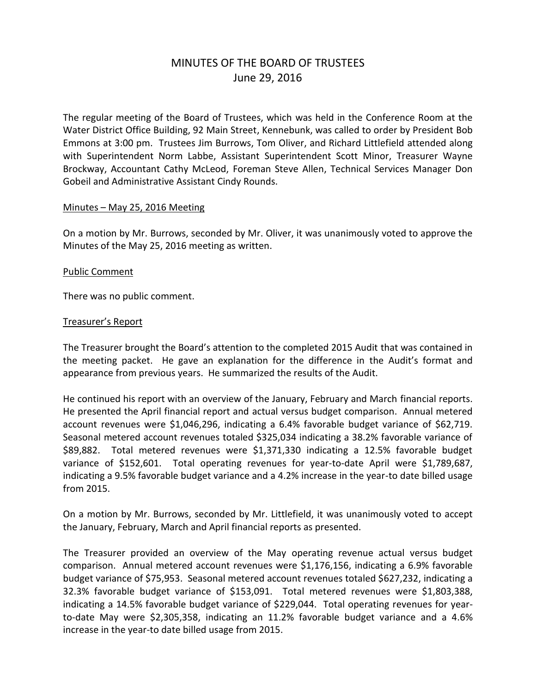# MINUTES OF THE BOARD OF TRUSTEES June 29, 2016

The regular meeting of the Board of Trustees, which was held in the Conference Room at the Water District Office Building, 92 Main Street, Kennebunk, was called to order by President Bob Emmons at 3:00 pm. Trustees Jim Burrows, Tom Oliver, and Richard Littlefield attended along with Superintendent Norm Labbe, Assistant Superintendent Scott Minor, Treasurer Wayne Brockway, Accountant Cathy McLeod, Foreman Steve Allen, Technical Services Manager Don Gobeil and Administrative Assistant Cindy Rounds.

#### Minutes – May 25, 2016 Meeting

On a motion by Mr. Burrows, seconded by Mr. Oliver, it was unanimously voted to approve the Minutes of the May 25, 2016 meeting as written.

#### Public Comment

There was no public comment.

#### Treasurer's Report

The Treasurer brought the Board's attention to the completed 2015 Audit that was contained in the meeting packet. He gave an explanation for the difference in the Audit's format and appearance from previous years. He summarized the results of the Audit.

He continued his report with an overview of the January, February and March financial reports. He presented the April financial report and actual versus budget comparison. Annual metered account revenues were \$1,046,296, indicating a 6.4% favorable budget variance of \$62,719. Seasonal metered account revenues totaled \$325,034 indicating a 38.2% favorable variance of \$89,882. Total metered revenues were \$1,371,330 indicating a 12.5% favorable budget variance of \$152,601. Total operating revenues for year-to-date April were \$1,789,687, indicating a 9.5% favorable budget variance and a 4.2% increase in the year-to date billed usage from 2015.

On a motion by Mr. Burrows, seconded by Mr. Littlefield, it was unanimously voted to accept the January, February, March and April financial reports as presented.

The Treasurer provided an overview of the May operating revenue actual versus budget comparison. Annual metered account revenues were \$1,176,156, indicating a 6.9% favorable budget variance of \$75,953. Seasonal metered account revenues totaled \$627,232, indicating a 32.3% favorable budget variance of \$153,091. Total metered revenues were \$1,803,388, indicating a 14.5% favorable budget variance of \$229,044. Total operating revenues for yearto-date May were \$2,305,358, indicating an 11.2% favorable budget variance and a 4.6% increase in the year-to date billed usage from 2015.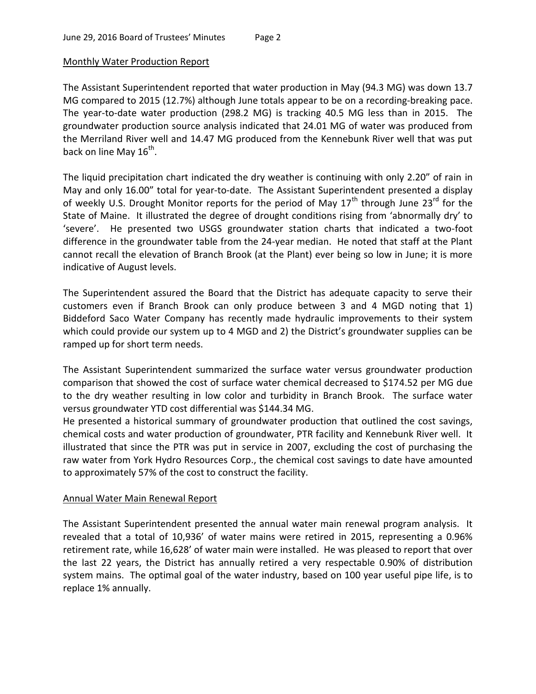# Monthly Water Production Report

The Assistant Superintendent reported that water production in May (94.3 MG) was down 13.7 MG compared to 2015 (12.7%) although June totals appear to be on a recording-breaking pace. The year-to-date water production (298.2 MG) is tracking 40.5 MG less than in 2015. The groundwater production source analysis indicated that 24.01 MG of water was produced from the Merriland River well and 14.47 MG produced from the Kennebunk River well that was put back on line May 16<sup>th</sup>.

The liquid precipitation chart indicated the dry weather is continuing with only 2.20" of rain in May and only 16.00" total for year-to-date. The Assistant Superintendent presented a display of weekly U.S. Drought Monitor reports for the period of May  $17<sup>th</sup>$  through June  $23<sup>rd</sup>$  for the State of Maine. It illustrated the degree of drought conditions rising from 'abnormally dry' to 'severe'. He presented two USGS groundwater station charts that indicated a two-foot difference in the groundwater table from the 24-year median. He noted that staff at the Plant cannot recall the elevation of Branch Brook (at the Plant) ever being so low in June; it is more indicative of August levels.

The Superintendent assured the Board that the District has adequate capacity to serve their customers even if Branch Brook can only produce between 3 and 4 MGD noting that 1) Biddeford Saco Water Company has recently made hydraulic improvements to their system which could provide our system up to 4 MGD and 2) the District's groundwater supplies can be ramped up for short term needs.

The Assistant Superintendent summarized the surface water versus groundwater production comparison that showed the cost of surface water chemical decreased to \$174.52 per MG due to the dry weather resulting in low color and turbidity in Branch Brook. The surface water versus groundwater YTD cost differential was \$144.34 MG.

He presented a historical summary of groundwater production that outlined the cost savings, chemical costs and water production of groundwater, PTR facility and Kennebunk River well. It illustrated that since the PTR was put in service in 2007, excluding the cost of purchasing the raw water from York Hydro Resources Corp., the chemical cost savings to date have amounted to approximately 57% of the cost to construct the facility.

# Annual Water Main Renewal Report

The Assistant Superintendent presented the annual water main renewal program analysis. It revealed that a total of 10,936' of water mains were retired in 2015, representing a 0.96% retirement rate, while 16,628' of water main were installed. He was pleased to report that over the last 22 years, the District has annually retired a very respectable 0.90% of distribution system mains. The optimal goal of the water industry, based on 100 year useful pipe life, is to replace 1% annually.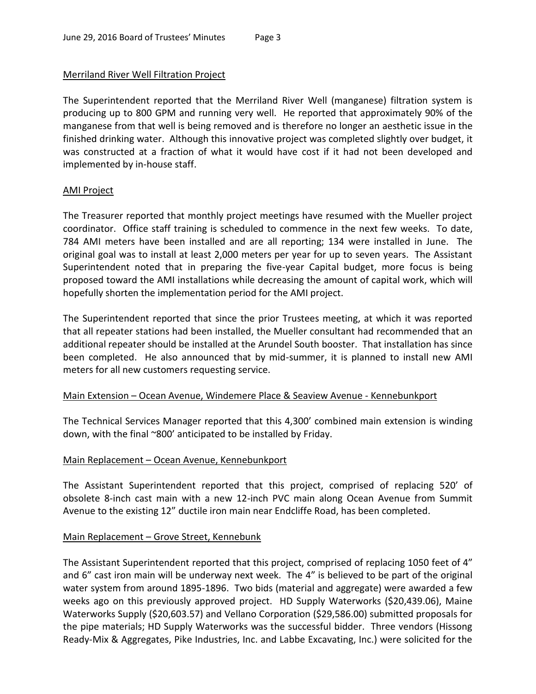#### Merriland River Well Filtration Project

The Superintendent reported that the Merriland River Well (manganese) filtration system is producing up to 800 GPM and running very well. He reported that approximately 90% of the manganese from that well is being removed and is therefore no longer an aesthetic issue in the finished drinking water. Although this innovative project was completed slightly over budget, it was constructed at a fraction of what it would have cost if it had not been developed and implemented by in-house staff.

#### AMI Project

The Treasurer reported that monthly project meetings have resumed with the Mueller project coordinator. Office staff training is scheduled to commence in the next few weeks. To date, 784 AMI meters have been installed and are all reporting; 134 were installed in June. The original goal was to install at least 2,000 meters per year for up to seven years. The Assistant Superintendent noted that in preparing the five-year Capital budget, more focus is being proposed toward the AMI installations while decreasing the amount of capital work, which will hopefully shorten the implementation period for the AMI project.

The Superintendent reported that since the prior Trustees meeting, at which it was reported that all repeater stations had been installed, the Mueller consultant had recommended that an additional repeater should be installed at the Arundel South booster. That installation has since been completed. He also announced that by mid-summer, it is planned to install new AMI meters for all new customers requesting service.

# Main Extension – Ocean Avenue, Windemere Place & Seaview Avenue - Kennebunkport

The Technical Services Manager reported that this 4,300' combined main extension is winding down, with the final ~800' anticipated to be installed by Friday.

# Main Replacement – Ocean Avenue, Kennebunkport

The Assistant Superintendent reported that this project, comprised of replacing 520' of obsolete 8-inch cast main with a new 12-inch PVC main along Ocean Avenue from Summit Avenue to the existing 12" ductile iron main near Endcliffe Road, has been completed.

# Main Replacement – Grove Street, Kennebunk

The Assistant Superintendent reported that this project, comprised of replacing 1050 feet of 4" and 6" cast iron main will be underway next week. The 4" is believed to be part of the original water system from around 1895-1896. Two bids (material and aggregate) were awarded a few weeks ago on this previously approved project. HD Supply Waterworks (\$20,439.06), Maine Waterworks Supply (\$20,603.57) and Vellano Corporation (\$29,586.00) submitted proposals for the pipe materials; HD Supply Waterworks was the successful bidder. Three vendors (Hissong Ready-Mix & Aggregates, Pike Industries, Inc. and Labbe Excavating, Inc.) were solicited for the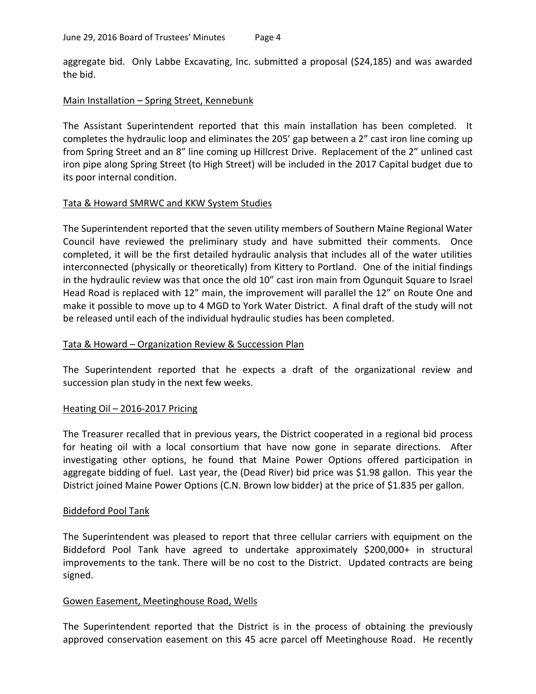aggregate bid. Only Labbe Excavating, Inc. submitted a proposal (\$24,185) and was awarded the bid.

# Main Installation – Spring Street, Kennebunk

The Assistant Superintendent reported that this main installation has been completed. It completes the hydraulic loop and eliminates the 205' gap between a 2" cast iron line coming up from Spring Street and an 8" line coming up Hillcrest Drive. Replacement of the 2" unlined cast iron pipe along Spring Street (to High Street) will be included in the 2017 Capital budget due to its poor internal condition.

# Tata & Howard SMRWC and KKW System Studies

The Superintendent reported that the seven utility members of Southern Maine Regional Water Council have reviewed the preliminary study and have submitted their comments. Once completed, it will be the first detailed hydraulic analysis that includes all of the water utilities interconnected (physically or theoretically) from Kittery to Portland. One of the initial findings in the hydraulic review was that once the old 10" cast iron main from Ogunquit Square to Israel Head Road is replaced with 12" main, the improvement will parallel the 12" on Route One and make it possible to move up to 4 MGD to York Water District. A final draft of the study will not be released until each of the individual hydraulic studies has been completed.

# Tata & Howard – Organization Review & Succession Plan

The Superintendent reported that he expects a draft of the organizational review and succession plan study in the next few weeks.

# Heating Oil – 2016-2017 Pricing

The Treasurer recalled that in previous years, the District cooperated in a regional bid process for heating oil with a local consortium that have now gone in separate directions. After investigating other options, he found that Maine Power Options offered participation in aggregate bidding of fuel. Last year, the (Dead River) bid price was \$1.98 gallon. This year the District joined Maine Power Options (C.N. Brown low bidder) at the price of \$1.835 per gallon.

# Biddeford Pool Tank

The Superintendent was pleased to report that three cellular carriers with equipment on the Biddeford Pool Tank have agreed to undertake approximately \$200,000+ in structural improvements to the tank. There will be no cost to the District. Updated contracts are being signed.

# Gowen Easement, Meetinghouse Road, Wells

The Superintendent reported that the District is in the process of obtaining the previously approved conservation easement on this 45 acre parcel off Meetinghouse Road. He recently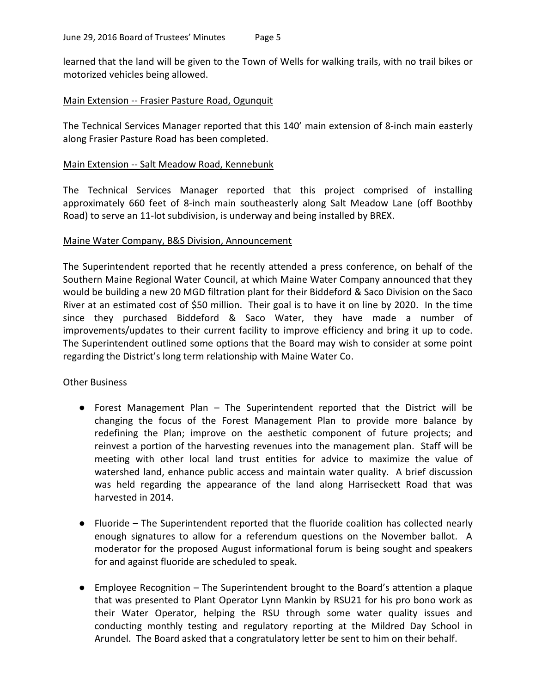learned that the land will be given to the Town of Wells for walking trails, with no trail bikes or motorized vehicles being allowed.

# Main Extension -- Frasier Pasture Road, Ogunquit

The Technical Services Manager reported that this 140' main extension of 8-inch main easterly along Frasier Pasture Road has been completed.

#### Main Extension -- Salt Meadow Road, Kennebunk

The Technical Services Manager reported that this project comprised of installing approximately 660 feet of 8-inch main southeasterly along Salt Meadow Lane (off Boothby Road) to serve an 11-lot subdivision, is underway and being installed by BREX.

#### Maine Water Company, B&S Division, Announcement

The Superintendent reported that he recently attended a press conference, on behalf of the Southern Maine Regional Water Council, at which Maine Water Company announced that they would be building a new 20 MGD filtration plant for their Biddeford & Saco Division on the Saco River at an estimated cost of \$50 million. Their goal is to have it on line by 2020. In the time since they purchased Biddeford & Saco Water, they have made a number of improvements/updates to their current facility to improve efficiency and bring it up to code. The Superintendent outlined some options that the Board may wish to consider at some point regarding the District's long term relationship with Maine Water Co.

#### Other Business

- Forest Management Plan The Superintendent reported that the District will be changing the focus of the Forest Management Plan to provide more balance by redefining the Plan; improve on the aesthetic component of future projects; and reinvest a portion of the harvesting revenues into the management plan. Staff will be meeting with other local land trust entities for advice to maximize the value of watershed land, enhance public access and maintain water quality. A brief discussion was held regarding the appearance of the land along Harriseckett Road that was harvested in 2014.
- Fluoride The Superintendent reported that the fluoride coalition has collected nearly enough signatures to allow for a referendum questions on the November ballot. A moderator for the proposed August informational forum is being sought and speakers for and against fluoride are scheduled to speak.
- Employee Recognition The Superintendent brought to the Board's attention a plaque that was presented to Plant Operator Lynn Mankin by RSU21 for his pro bono work as their Water Operator, helping the RSU through some water quality issues and conducting monthly testing and regulatory reporting at the Mildred Day School in Arundel. The Board asked that a congratulatory letter be sent to him on their behalf.